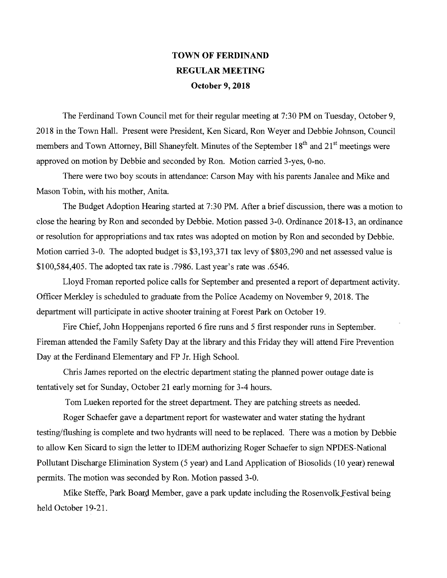## TOWN OF FERDINAND REGULAR MEETING October 9, 2018

The Ferdinand Town Council met for their regular meeting at 7:30 PM on Tuesday, October 9, 2018 in the Town Hall. Present were President, Ken Sicard, Ron Weyer and Debbie Johnson, Council members and Town Attorney, Bill Shaneyfelt. Minutes of the September 18<sup>th</sup> and 21<sup>st</sup> meetings were approved on motion by Debbie and seconded by Ron. Motion carried 3-yes, 0-no.

There were two boy scouts in attendance: Carson May with his parents Janalee and Mike and Mason Tobin, with his mother, Anita.

The Budget Adoption Hearing started at 7:30 PM. After a brief discussion, there was a motion to close the hearing by Ron and seconded by Debbie. Motion passed 3-0. Ordinance 2018-13, an ordinance or resolution for appropriations and tax rates was adopted on motion by Ron and seconded by Debbie. Motion carried 3-0. The adopted budget is \$3,193,371 tax levy of \$803,290 and net assessed value is \$100,584,405. The adopted tax rate is .7986. Last year's rate was .6546.

Lloyd Froman reported police calls for September and presented a report of department activity. Officer Merkley is scheduled to graduate from the Police Academy on November 9, 2018. The department will participate in active shooter training at Forest Park on October 19.

Fire Chief, John Hoppenjans reported 6 fire runs and 5 first responder runs in September. Fireman attended the Family Safety Day at the library and this Friday they will attend Fire Prevention Day at the Ferdinand Elementary and FP Jr. High School.

Chris James reported on the electric department stating the planned power outage date is tentatively set for Sunday, October 21 early morning for 3-4 hours.

Tom Lueken reported for the street department. They are patching streets as needed.

Roger Schaefer gave a department report for wastewater and water stating the hydrant testing/flushing is complete and two hydrants will need to be replaced. There was a motion by Debbie to allow Ken Sicard to sign the letter to IDEM authorizing Roger Schaefer to sign NPDES-National Pollutant Discharge Elimination System (5 year) and Land Application of Biosolids (10 year) renewal permits. The motion was seconded by Ron. Motion passed 3-0.

Mike Steffe, Park Board Member, gave a park update including the Rosenvolk Festival being held October 19-21.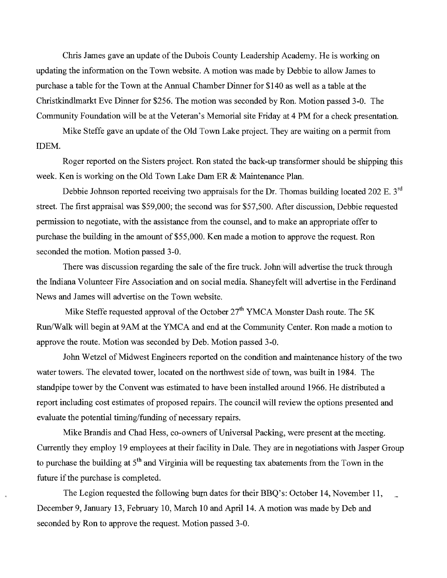Chris James gave an update of the Dubois County Leadership Academy. He is working on updating the information on the Town website. A motion was made by Debbie to allow James to purchase a table for the Town at the Annual Chamber Dinner for \$140 as well as a table at the Christkindlmarkt Eve Dinner for \$256. The motion was seconded by Ron. Motion passed 3-0. The Community Foundation will be at the Veteran's Memorial site Friday at 4 PM for a check presentation.

Mike Steffe gave an update of the Old Town Lake project. They are waiting on a permit from IDEM.

Roger reported on the Sisters project. Ron stated the back-up transformer should be shipping this week. Ken is working on the Old Town Lake Dam ER & Maintenance Plan.

Debbie Johnson reported receiving two appraisals for the Dr. Thomas building located 202 E. 3<sup>rd</sup> street. The first appraisal was \$59,000; the second was for \$57,500. After discussion, Debbie requested permission to negotiate, with the assistance from the counsel, and to make an appropriate offer to purchase the building in the amount of \$55,000. Ken made a motion to approve the request. Ron seconded the motion. Motion passed 3-0.

There was discussion regarding the sale of the fire truck. John will advertise the truck through the Indiana Volunteer Fire Association and on social media. Shaneyfelt will advertise in the Ferdinand News and James will advertise on the Town website.

Mike Steffe requested approval of the October  $27<sup>th</sup>$  YMCA Monster Dash route. The 5K Run/Walk will begin at 9AM at the YMCA and end at the Community Center. Ron made a motion to approve the route. Motion was seconded by Deb. Motion passed 3-0.

John Wetzel of Midwest Engineers reported on the condition and maintenance history of the two water towers. The elevated tower, located on the northwest side of town, was built in 1984. The standpipe tower by the Convent was estimated to have been installed around 1966. He distributed a report including cost estimates of proposed repairs. The council will review the options presented and evaluate the potential timing/funding of necessary repairs.

Mike Brandis and Chad Hess, co-owners of Universal Packing, were present at the meeting. Currently they employ 19 employees at their facility in Dale. They are in negotiations with Jasper Group to purchase the building at  $5<sup>th</sup>$  and Virginia will be requesting tax abatements from the Town in the future if the purchase is completed.

The Legion requested the following burn dates for their BBQ's: October 14, November 11, December 9, January 13, February 10, March 10 and April 14. A motion was made by Deb and seconded by Ron to approve the request. Motion passed 3-0.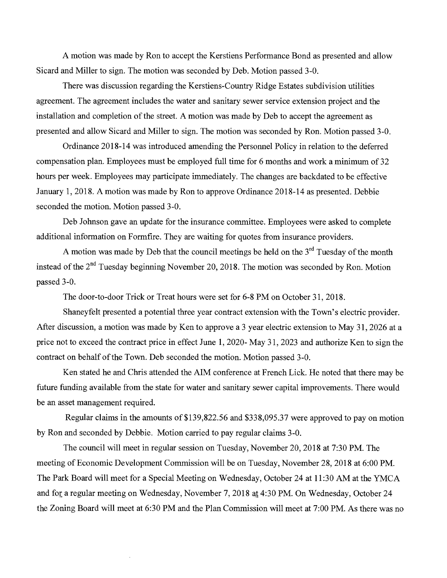A motion was made by Ron to accept the Kerstiens Performance Bond as presented and allow Sicard and Miller to sign. The motion was seconded by Deb. Motion passed 3-0.

There was discussion regarding the Kerstiens-Country Ridge Estates subdivision utilities agreement. The agreement includes the water and sanitary sewer service extension project and the installation and completion of the street. A motion was made by Deb to accept the agreement as presented and allow Sicard and Miller to sign. The motion was seconded by Ron. Motion passed 3-0.

Ordinance 2018-14 was introduced amending the Persormel Policy in relation to the deferred compensation plan. Employees must be employed full time for 6 months and work a minimum of 32 hours per week. Employees may participate immediately. The changes are backdated to be effective January 1, 2018. A motion was made by Ron to approve Ordinance 2018-14 as presented. Debbie seconded the motion. Motion passed 3-0.

Deb Johnson gave an update for the insurance committee. Employees were asked to complete additional information on Formfire. They are waiting for quotes from insurance providers.

A motion was made by Deb that the council meetings be held on the  $3<sup>rd</sup>$  Tuesday of the month instead of the 2<sup>nd</sup> Tuesday beginning November 20, 2018. The motion was seconded by Ron. Motion passed 3-0.

The door-to-door Trick or Treat hours were set for 6-8 PM on October 31, 2018.

Shaneyfelt presented a potential three year contract extension with the Town's electric provider. After discussion, a motion was made by Ken to approve a 3 year electric extension to May 31, 2026 at a price not to exceed the contract price in effect June 1, 2020- May 31, 2023 and authorize Ken to sign the contract on behalf of the Town. Deb seconded the motion. Motion passed 3-0.

Ken stated he and Chris attended the AIM conference at French Lick. He noted that there may be future funding available from the state for water and sanitary sewer capital improvements. There would be an asset management required.

Regular claims in the amounts of \$139,822.56 and \$338,095.37 were approved to pay on motion by Ron and seconded by Debbie. Motion carried to pay regular claims 3-0.

The council will meet in regular session on Tuesday, November 20, 2018 at 7:30 PM. The meeting of Economic Development Commission will be on Tuesday, November 28, 2018 at 6:00 PM. The Park Board will meet for a Special Meeting on Wednesday, October 24 at 11:30 AM at the YMCA and for a regular meeting on Wednesday, November 7, 2018 at 4:30 PM. On Wednesday, October 24 the Zoning Board will meet at 6:30 PM and the Plan Commission will meet at 7:00 PM. As there was no